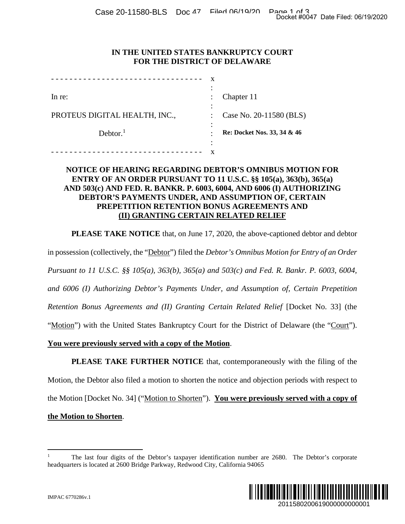Case 20-11580-BLS Doc 47 Filed 06/19/20 Page 1 of 3<br>Docket #0047 Date Filed: 06/19/2020

# **IN THE UNITED STATES BANKRUPTCY COURT FOR THE DISTRICT OF DELAWARE**

| In re:                        |   | Chapter 11                  |
|-------------------------------|---|-----------------------------|
|                               |   |                             |
| PROTEUS DIGITAL HEALTH, INC., |   | Case No. 20-11580 (BLS)     |
|                               |   |                             |
| Dektor. <sup>1</sup>          |   | Re: Docket Nos. 33, 34 & 46 |
|                               | ٠ |                             |
|                               |   |                             |

# **NOTICE OF HEARING REGARDING DEBTOR'S OMNIBUS MOTION FOR ENTRY OF AN ORDER PURSUANT TO 11 U.S.C. §§ 105(a), 363(b), 365(a) AND 503(c) AND FED. R. BANKR. P. 6003, 6004, AND 6006 (I) AUTHORIZING DEBTOR'S PAYMENTS UNDER, AND ASSUMPTION OF, CERTAIN PREPETITION RETENTION BONUS AGREEMENTS AND (II) GRANTING CERTAIN RELATED RELIEF**

**PLEASE TAKE NOTICE** that, on June 17, 2020, the above-captioned debtor and debtor

in possession (collectively, the "Debtor") filed the *Debtor's Omnibus Motion for Entry of an Order Pursuant to 11 U.S.C. §§ 105(a), 363(b), 365(a) and 503(c) and Fed. R. Bankr. P. 6003, 6004, and 6006 (I) Authorizing Debtor's Payments Under, and Assumption of, Certain Prepetition Retention Bonus Agreements and (II) Granting Certain Related Relief* [Docket No. 33] (the "Motion") with the United States Bankruptcy Court for the District of Delaware (the "Court"). **You were previously served with a copy of the Motion**. Docket #0047 Date Filed: 06/19/2020<br>
2011<br>
2012<br>
2010 (BLS)<br>
30 (BLS)<br>
34 & 46<br>
2010 MOTION FOR<br>
30, 363(b), 365(a)<br>
10 AUTHORIZING<br>
DE CERTAIN<br>
TIS AND<br>
EF<br>
ptioned debtor and debtor<br> *tion for Entry of an Order*<br> *R. Ba* 

**PLEASE TAKE FURTHER NOTICE** that, contemporaneously with the filing of the Motion, the Debtor also filed a motion to shorten the notice and objection periods with respect to the Motion [Docket No. 34] ("Motion to Shorten"). **You were previously served with a copy of the Motion to Shorten**.

<sup>1</sup> The last four digits of the Debtor's taxpayer identification number are 2680. The Debtor's corporate headquarters is located at 2600 Bridge Parkway, Redwood City, California 94065

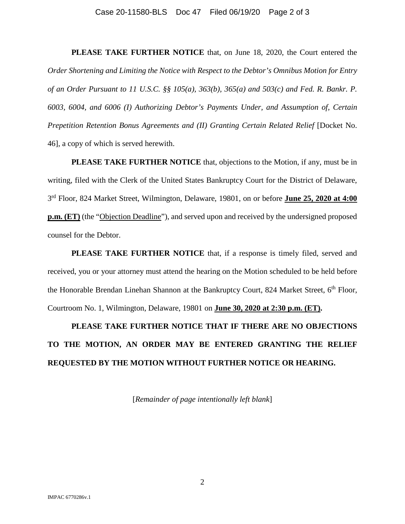### Case 20-11580-BLS Doc 47 Filed 06/19/20 Page 2 of 3

**PLEASE TAKE FURTHER NOTICE** that, on June 18, 2020, the Court entered the *Order Shortening and Limiting the Notice with Respect to the Debtor's Omnibus Motion for Entry of an Order Pursuant to 11 U.S.C. §§ 105(a), 363(b), 365(a) and 503(c) and Fed. R. Bankr. P. 6003, 6004, and 6006 (I) Authorizing Debtor's Payments Under, and Assumption of, Certain Prepetition Retention Bonus Agreements and (II) Granting Certain Related Relief [Docket No.* 46], a copy of which is served herewith.

**PLEASE TAKE FURTHER NOTICE** that, objections to the Motion, if any, must be in writing, filed with the Clerk of the United States Bankruptcy Court for the District of Delaware, 3 rd Floor, 824 Market Street, Wilmington, Delaware, 19801, on or before **June 25, 2020 at 4:00 p.m. (ET)** (the "Objection Deadline"), and served upon and received by the undersigned proposed counsel for the Debtor.

**PLEASE TAKE FURTHER NOTICE** that, if a response is timely filed, served and received, you or your attorney must attend the hearing on the Motion scheduled to be held before the Honorable Brendan Linehan Shannon at the Bankruptcy Court, 824 Market Street, 6<sup>th</sup> Floor, Courtroom No. 1, Wilmington, Delaware, 19801 on **June 30, 2020 at 2:30 p.m. (ET).**

**PLEASE TAKE FURTHER NOTICE THAT IF THERE ARE NO OBJECTIONS TO THE MOTION, AN ORDER MAY BE ENTERED GRANTING THE RELIEF REQUESTED BY THE MOTION WITHOUT FURTHER NOTICE OR HEARING.** 

[*Remainder of page intentionally left blank*]